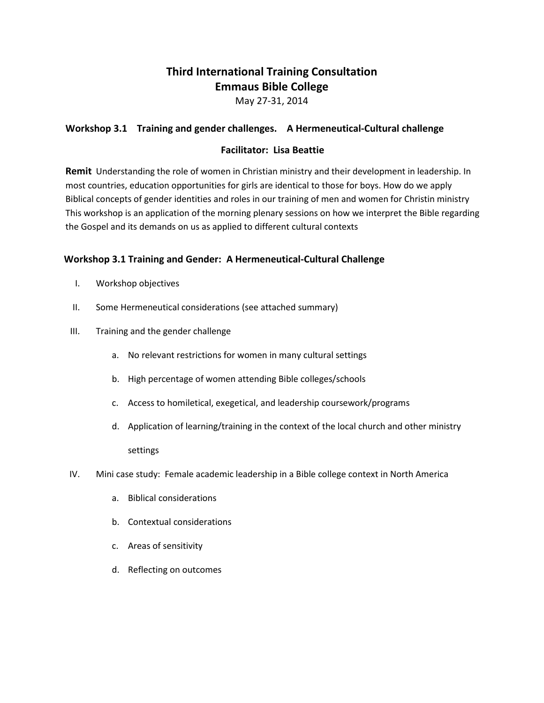# **Third International Training Consultation Emmaus Bible College**

May 27-31, 2014

## **Workshop 3.1 Training and gender challenges. A Hermeneutical-Cultural challenge**

### **Facilitator: Lisa Beattie**

**Remit** Understanding the role of women in Christian ministry and their development in leadership. In most countries, education opportunities for girls are identical to those for boys. How do we apply Biblical concepts of gender identities and roles in our training of men and women for Christin ministry This workshop is an application of the morning plenary sessions on how we interpret the Bible regarding the Gospel and its demands on us as applied to different cultural contexts

## **Workshop 3.1 Training and Gender: A Hermeneutical-Cultural Challenge**

- I. Workshop objectives
- II. Some Hermeneutical considerations (see attached summary)
- III. Training and the gender challenge
	- a. No relevant restrictions for women in many cultural settings
	- b. High percentage of women attending Bible colleges/schools
	- c. Access to homiletical, exegetical, and leadership coursework/programs
	- d. Application of learning/training in the context of the local church and other ministry settings
- IV. Mini case study: Female academic leadership in a Bible college context in North America
	- a. Biblical considerations
	- b. Contextual considerations
	- c. Areas of sensitivity
	- d. Reflecting on outcomes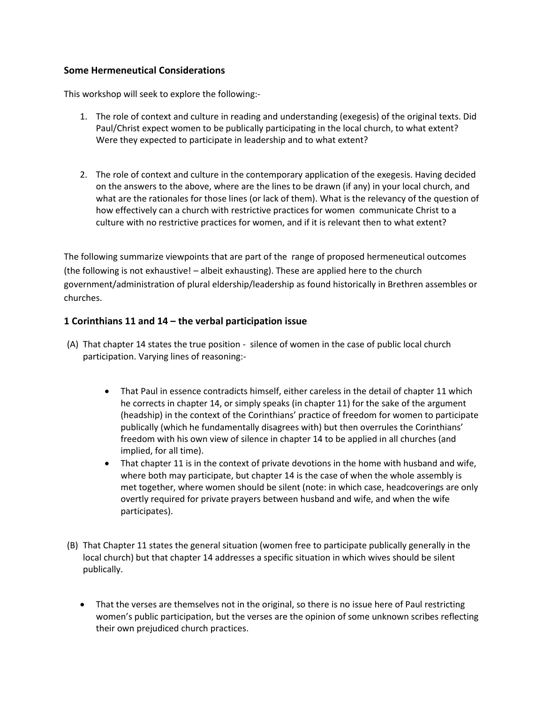#### **Some Hermeneutical Considerations**

This workshop will seek to explore the following:-

- 1. The role of context and culture in reading and understanding (exegesis) of the original texts. Did Paul/Christ expect women to be publically participating in the local church, to what extent? Were they expected to participate in leadership and to what extent?
- 2. The role of context and culture in the contemporary application of the exegesis. Having decided on the answers to the above, where are the lines to be drawn (if any) in your local church, and what are the rationales for those lines (or lack of them). What is the relevancy of the question of how effectively can a church with restrictive practices for women communicate Christ to a culture with no restrictive practices for women, and if it is relevant then to what extent?

The following summarize viewpoints that are part of the range of proposed hermeneutical outcomes (the following is not exhaustive! – albeit exhausting). These are applied here to the church government/administration of plural eldership/leadership as found historically in Brethren assembles or churches.

#### **1 Corinthians 11 and 14 – the verbal participation issue**

- (A) That chapter 14 states the true position silence of women in the case of public local church participation. Varying lines of reasoning:-
	- That Paul in essence contradicts himself, either careless in the detail of chapter 11 which he corrects in chapter 14, or simply speaks (in chapter 11) for the sake of the argument (headship) in the context of the Corinthians' practice of freedom for women to participate publically (which he fundamentally disagrees with) but then overrules the Corinthians' freedom with his own view of silence in chapter 14 to be applied in all churches (and implied, for all time).
	- That chapter 11 is in the context of private devotions in the home with husband and wife, where both may participate, but chapter 14 is the case of when the whole assembly is met together, where women should be silent (note: in which case, headcoverings are only overtly required for private prayers between husband and wife, and when the wife participates).
- (B) That Chapter 11 states the general situation (women free to participate publically generally in the local church) but that chapter 14 addresses a specific situation in which wives should be silent publically.
	- That the verses are themselves not in the original, so there is no issue here of Paul restricting women's public participation, but the verses are the opinion of some unknown scribes reflecting their own prejudiced church practices.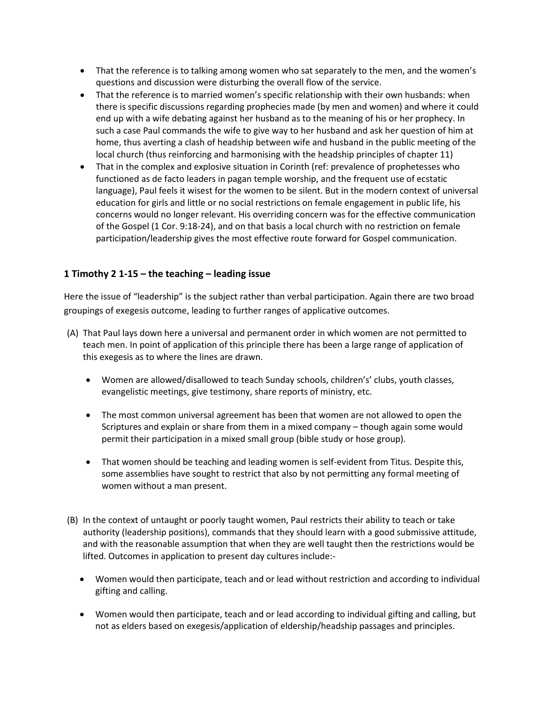- That the reference is to talking among women who sat separately to the men, and the women's questions and discussion were disturbing the overall flow of the service.
- That the reference is to married women's specific relationship with their own husbands: when there is specific discussions regarding prophecies made (by men and women) and where it could end up with a wife debating against her husband as to the meaning of his or her prophecy. In such a case Paul commands the wife to give way to her husband and ask her question of him at home, thus averting a clash of headship between wife and husband in the public meeting of the local church (thus reinforcing and harmonising with the headship principles of chapter 11)
- That in the complex and explosive situation in Corinth (ref: prevalence of prophetesses who functioned as de facto leaders in pagan temple worship, and the frequent use of ecstatic language), Paul feels it wisest for the women to be silent. But in the modern context of universal education for girls and little or no social restrictions on female engagement in public life, his concerns would no longer relevant. His overriding concern was for the effective communication of the Gospel (1 Cor. 9:18-24), and on that basis a local church with no restriction on female participation/leadership gives the most effective route forward for Gospel communication.

## **1 Timothy 2 1-15 – the teaching – leading issue**

Here the issue of "leadership" is the subject rather than verbal participation. Again there are two broad groupings of exegesis outcome, leading to further ranges of applicative outcomes.

- (A) That Paul lays down here a universal and permanent order in which women are not permitted to teach men. In point of application of this principle there has been a large range of application of this exegesis as to where the lines are drawn.
	- Women are allowed/disallowed to teach Sunday schools, children's' clubs, youth classes, evangelistic meetings, give testimony, share reports of ministry, etc.
	- The most common universal agreement has been that women are not allowed to open the Scriptures and explain or share from them in a mixed company – though again some would permit their participation in a mixed small group (bible study or hose group).
	- That women should be teaching and leading women is self-evident from Titus. Despite this, some assemblies have sought to restrict that also by not permitting any formal meeting of women without a man present.
- (B) In the context of untaught or poorly taught women, Paul restricts their ability to teach or take authority (leadership positions), commands that they should learn with a good submissive attitude, and with the reasonable assumption that when they are well taught then the restrictions would be lifted. Outcomes in application to present day cultures include:-
	- Women would then participate, teach and or lead without restriction and according to individual gifting and calling.
	- Women would then participate, teach and or lead according to individual gifting and calling, but not as elders based on exegesis/application of eldership/headship passages and principles.